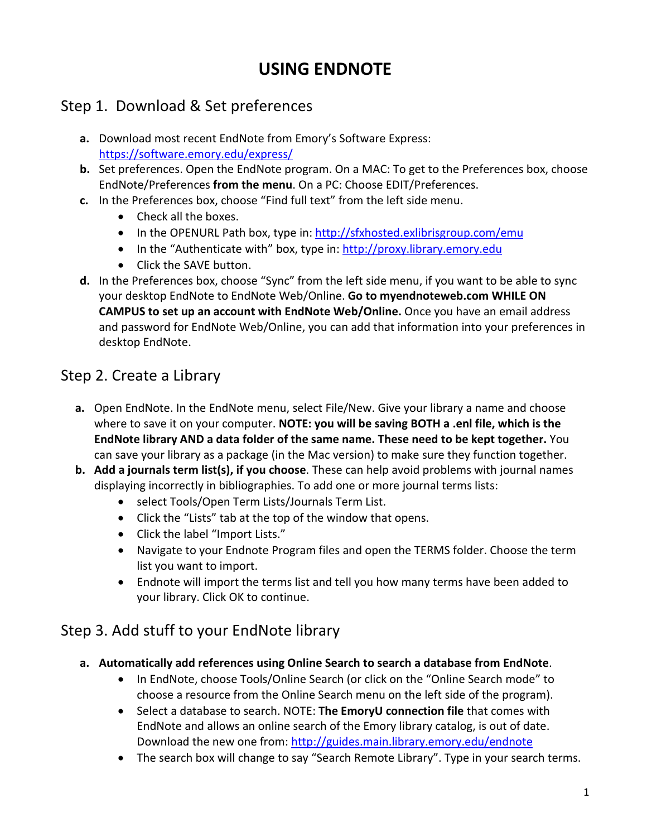# **USING ENDNOTE**

## Step 1. Download & Set preferences

- **a.** Download most recent EndNote from Emory's Software Express: <https://software.emory.edu/express/>
- **b.** Set preferences. Open the EndNote program. On a MAC: To get to the Preferences box, choose EndNote/Preferences **from the menu**. On a PC: Choose EDIT/Preferences.
- **c.** In the Preferences box, choose "Find full text" from the left side menu.
	- Check all the boxes.
	- In the OPENURL Path box, type in:<http://sfxhosted.exlibrisgroup.com/emu>
	- In the "Authenticate with" box, type in: [http://proxy.library.emory.edu](http://proxy.library.emory.edu/)
	- Click the SAVE button.
- **d.** In the Preferences box, choose "Sync" from the left side menu, if you want to be able to sync your desktop EndNote to EndNote Web/Online. **Go to myendnoteweb.com WHILE ON CAMPUS to set up an account with EndNote Web/Online.** Once you have an email address and password for EndNote Web/Online, you can add that information into your preferences in desktop EndNote.

# Step 2. Create a Library

- **a.** Open EndNote. In the EndNote menu, select File/New. Give your library a name and choose where to save it on your computer. **NOTE: you will be saving BOTH a .enl file, which is the EndNote library AND a data folder of the same name. These need to be kept together.** You can save your library as a package (in the Mac version) to make sure they function together.
- **b. Add a journals term list(s), if you choose**. These can help avoid problems with journal names displaying incorrectly in bibliographies. To add one or more journal terms lists:
	- select Tools/Open Term Lists/Journals Term List.
	- Click the "Lists" tab at the top of the window that opens.
	- Click the label "Import Lists."
	- Navigate to your Endnote Program files and open the TERMS folder. Choose the term list you want to import.
	- Endnote will import the terms list and tell you how many terms have been added to your library. Click OK to continue.

### Step 3. Add stuff to your EndNote library

- **a. Automatically add references using Online Search to search a database from EndNote**.
	- In EndNote, choose Tools/Online Search (or click on the "Online Search mode" to choose a resource from the Online Search menu on the left side of the program).
	- Select a database to search. NOTE: **The EmoryU connection file** that comes with EndNote and allows an online search of the Emory library catalog, is out of date. Download the new one from:<http://guides.main.library.emory.edu/endnote>
	- The search box will change to say "Search Remote Library". Type in your search terms.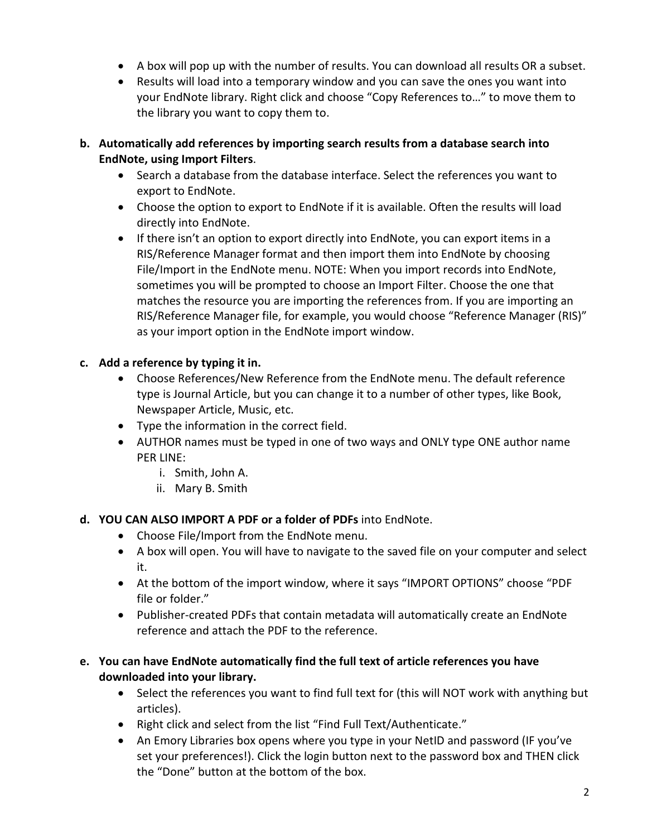- A box will pop up with the number of results. You can download all results OR a subset.
- Results will load into a temporary window and you can save the ones you want into your EndNote library. Right click and choose "Copy References to…" to move them to the library you want to copy them to.
- **b. Automatically add references by importing search results from a database search into EndNote, using Import Filters**.
	- Search a database from the database interface. Select the references you want to export to EndNote.
	- Choose the option to export to EndNote if it is available. Often the results will load directly into EndNote.
	- If there isn't an option to export directly into EndNote, you can export items in a RIS/Reference Manager format and then import them into EndNote by choosing File/Import in the EndNote menu. NOTE: When you import records into EndNote, sometimes you will be prompted to choose an Import Filter. Choose the one that matches the resource you are importing the references from. If you are importing an RIS/Reference Manager file, for example, you would choose "Reference Manager (RIS)" as your import option in the EndNote import window.

### **c. Add a reference by typing it in.**

- Choose References/New Reference from the EndNote menu. The default reference type is Journal Article, but you can change it to a number of other types, like Book, Newspaper Article, Music, etc.
- Type the information in the correct field.
- AUTHOR names must be typed in one of two ways and ONLY type ONE author name PER LINE:
	- i. Smith, John A.
	- ii. Mary B. Smith

### **d. YOU CAN ALSO IMPORT A PDF or a folder of PDFs** into EndNote.

- Choose File/Import from the EndNote menu.
- A box will open. You will have to navigate to the saved file on your computer and select it.
- At the bottom of the import window, where it says "IMPORT OPTIONS" choose "PDF file or folder."
- Publisher-created PDFs that contain metadata will automatically create an EndNote reference and attach the PDF to the reference.
- **e. You can have EndNote automatically find the full text of article references you have downloaded into your library.**
	- Select the references you want to find full text for (this will NOT work with anything but articles).
	- Right click and select from the list "Find Full Text/Authenticate."
	- An Emory Libraries box opens where you type in your NetID and password (IF you've set your preferences!). Click the login button next to the password box and THEN click the "Done" button at the bottom of the box.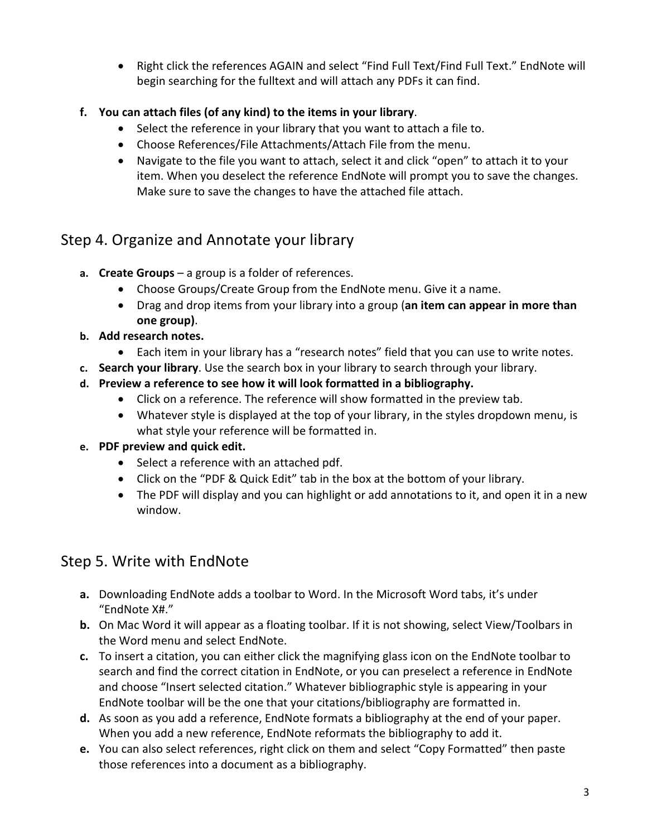• Right click the references AGAIN and select "Find Full Text/Find Full Text." EndNote will begin searching for the fulltext and will attach any PDFs it can find.

### **f. You can attach files (of any kind) to the items in your library**.

- Select the reference in your library that you want to attach a file to.
- Choose References/File Attachments/Attach File from the menu.
- Navigate to the file you want to attach, select it and click "open" to attach it to your item. When you deselect the reference EndNote will prompt you to save the changes. Make sure to save the changes to have the attached file attach.

# Step 4. Organize and Annotate your library

- **a. Create Groups** a group is a folder of references.
	- Choose Groups/Create Group from the EndNote menu. Give it a name.
	- Drag and drop items from your library into a group (**an item can appear in more than one group)**.
- **b. Add research notes.**
	- Each item in your library has a "research notes" field that you can use to write notes.
- **c. Search your library**. Use the search box in your library to search through your library.
- **d. Preview a reference to see how it will look formatted in a bibliography.**
	- Click on a reference. The reference will show formatted in the preview tab.
	- Whatever style is displayed at the top of your library, in the styles dropdown menu, is what style your reference will be formatted in.
- **e. PDF preview and quick edit.**
	- Select a reference with an attached pdf.
	- Click on the "PDF & Quick Edit" tab in the box at the bottom of your library.
	- The PDF will display and you can highlight or add annotations to it, and open it in a new window.

# Step 5. Write with EndNote

- **a.** Downloading EndNote adds a toolbar to Word. In the Microsoft Word tabs, it's under "EndNote X#."
- **b.** On Mac Word it will appear as a floating toolbar. If it is not showing, select View/Toolbars in the Word menu and select EndNote.
- **c.** To insert a citation, you can either click the magnifying glass icon on the EndNote toolbar to search and find the correct citation in EndNote, or you can preselect a reference in EndNote and choose "Insert selected citation." Whatever bibliographic style is appearing in your EndNote toolbar will be the one that your citations/bibliography are formatted in.
- **d.** As soon as you add a reference, EndNote formats a bibliography at the end of your paper. When you add a new reference, EndNote reformats the bibliography to add it.
- **e.** You can also select references, right click on them and select "Copy Formatted" then paste those references into a document as a bibliography.